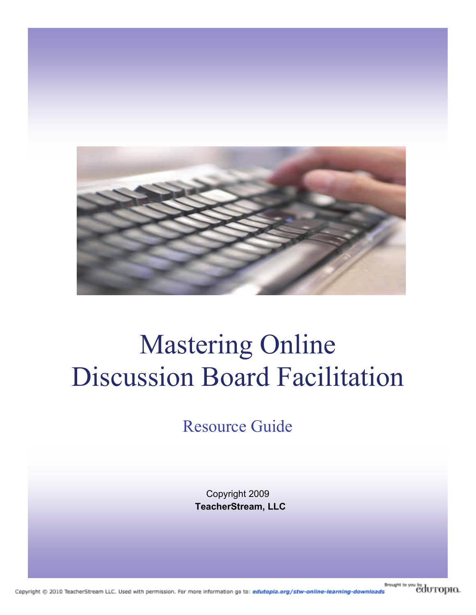

# Mastering Online Discussion Board Facilitation

Resource Guide

Copyright 2009 **TeacherStream, LLC**

**Brought** to you by **during D**. Copyright @ 2010 TeacherStream LLC. Used with permission. For more information go to: edutopla.org/stw-online-learning-downloads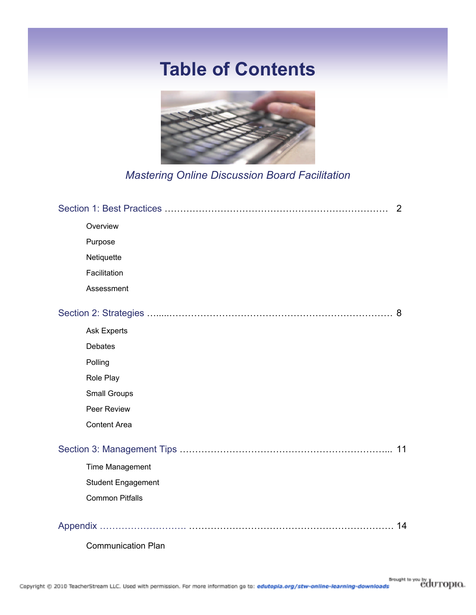## **Table of Contents**



*Mastering Online Discussion Board Facilitation*

| 2                         |    |
|---------------------------|----|
| Overview                  |    |
| Purpose                   |    |
| Netiquette                |    |
| Facilitation              |    |
| Assessment                |    |
|                           |    |
| <b>Ask Experts</b>        |    |
| <b>Debates</b>            |    |
| Polling                   |    |
| Role Play                 |    |
| <b>Small Groups</b>       |    |
| Peer Review               |    |
| <b>Content Area</b>       |    |
|                           | 11 |
| <b>Time Management</b>    |    |
| <b>Student Engagement</b> |    |
| <b>Common Pitfalls</b>    |    |
|                           | 14 |
| <b>Communication Plan</b> |    |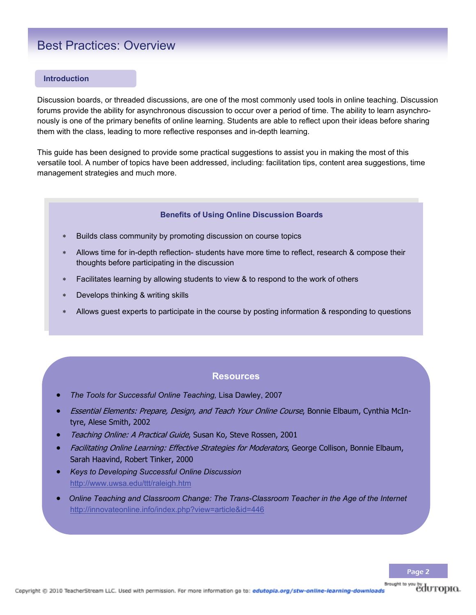### Best Practices: Overview

#### **Introduction**

Discussion boards, or threaded discussions, are one of the most commonly used tools in online teaching. Discussion forums provide the ability for asynchronous discussion to occur over a period of time. The ability to learn asynchronously is one of the primary benefits of online learning. Students are able to reflect upon their ideas before sharing them with the class, leading to more reflective responses and in-depth learning.

This guide has been designed to provide some practical suggestions to assist you in making the most of this versatile tool. A number of topics have been addressed, including: facilitation tips, content area suggestions, time management strategies and much more.

#### **Benefits of Using Online Discussion Boards**

- Builds class community by promoting discussion on course topics
- Allows time for in-depth reflection- students have more time to reflect, research & compose their thoughts before participating in the discussion
- Facilitates learning by allowing students to view & to respond to the work of others
- Develops thinking & writing skills
- Allows guest experts to participate in the course by posting information & responding to questions

### **Resources**

- *The Tools for Successful Online Teaching,* Lisa Dawley, 2007
- Essential Elements: Prepare, Design, and Teach Your Online Course, Bonnie Elbaum, Cynthia McIntyre, Alese Smith, 2002
- Teaching Online: A Practical Guide, Susan Ko, Steve Rossen, 2001
- Facilitating Online Learning: Effective Strategies for Moderators, George Collison, Bonnie Elbaum, Sarah Haavind, Robert Tinker, 2000
- *Keys to Developing Successful Online Discussion* http://www.uwsa.edu/ttt/raleigh.htm
- *Online Teaching and Classroom Change: The Trans-Classroom Teacher in the Age of the Internet*  http://innovateonline.info/index.php?view=article&id=446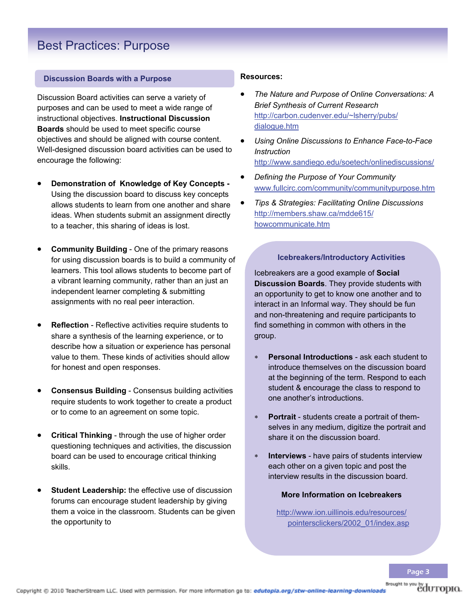### Best Practices: Purpose

### **Discussion Boards with a Purpose**

Discussion Board activities can serve a variety of purposes and can be used to meet a wide range of instructional objectives. **Instructional Discussion Boards** should be used to meet specific course objectives and should be aligned with course content. Well-designed discussion board activities can be used to encourage the following:

- **Demonstration of Knowledge of Key Concepts**  Using the discussion board to discuss key concepts allows students to learn from one another and share ideas. When students submit an assignment directly to a teacher, this sharing of ideas is lost.
- **Community Building**  One of the primary reasons for using discussion boards is to build a community of learners. This tool allows students to become part of a vibrant learning community, rather than an just an independent learner completing & submitting assignments with no real peer interaction.
- **Reflection** Reflective activities require students to share a synthesis of the learning experience, or to describe how a situation or experience has personal value to them. These kinds of activities should allow for honest and open responses.
- **Consensus Building**  Consensus building activities require students to work together to create a product or to come to an agreement on some topic.
- **Critical Thinking**  through the use of higher order questioning techniques and activities, the discussion board can be used to encourage critical thinking skills.
- **Student Leadership:** the effective use of discussion forums can encourage student leadership by giving them a voice in the classroom. Students can be given the opportunity to

### **Resources:**

- *The Nature and Purpose of Online Conversations: A Brief Synthesis of Current Research* [http://carbon.cudenver.edu/~lsherry/pubs/](http://carbon.cudenver.edu/~lsherry/pubs/dialogue.htm) [dialogue.htm](http://carbon.cudenver.edu/~lsherry/pubs/dialogue.htm)
- *Using Online Discussions to Enhance Face-to-Face Instruction* <http://www.sandiego.edu/soetech/onlinediscussions/>
- *Defining the Purpose of Your Community* www.fullcirc.com/community/communitypurpose.htm
- *Tips & Strategies: Facilitating Online Discussions* [http://members.shaw.ca/mdde615/](http://members.shaw.ca/mdde615/howcommunicate.htm) [howcommunicate.htm](http://members.shaw.ca/mdde615/howcommunicate.htm)

### **Icebreakers/Introductory Activities**

Icebreakers are a good example of **Social Discussion Boards**. They provide students with an opportunity to get to know one another and to interact in an Informal way. They should be fun and non-threatening and require participants to find something in common with others in the group.

- **Personal Introductions**  ask each student to introduce themselves on the discussion board at the beginning of the term. Respond to each student & encourage the class to respond to one another's introductions.
- **Portrait**  students create a portrait of themselves in any medium, digitize the portrait and share it on the discussion board.
- **Interviews** have pairs of students interview each other on a given topic and post the interview results in the discussion board.

### **More Information on Icebreakers**

http://www.ion.uillinois.edu/resources/ pointersclickers/2002\_01/index.asp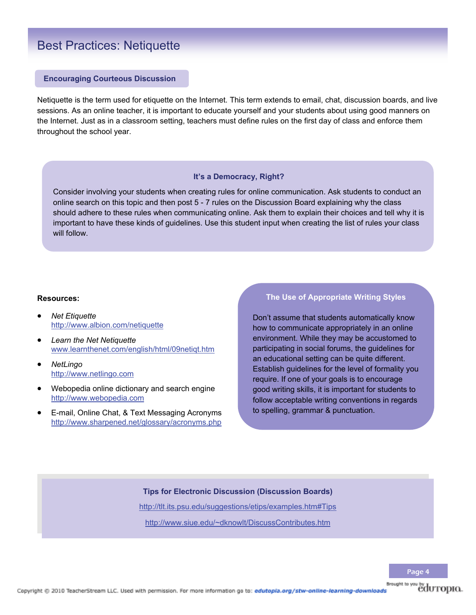### Best Practices: Netiquette

### **Encouraging Courteous Discussion**

Netiquette is the term used for etiquette on the Internet. This term extends to email, chat, discussion boards, and live sessions. As an online teacher, it is important to educate yourself and your students about using good manners on the Internet. Just as in a classroom setting, teachers must define rules on the first day of class and enforce them throughout the school year.

### **It's a Democracy, Right?**

Consider involving your students when creating rules for online communication. Ask students to conduct an online search on this topic and then post 5 - 7 rules on the Discussion Board explaining why the class should adhere to these rules when communicating online. Ask them to explain their choices and tell why it is important to have these kinds of guidelines. Use this student input when creating the list of rules your class will follow.

### **Resources:**

- *Net Etiquette*  http://www.albion.com/netiquette
- *Learn the Net Netiquette* [www.learnthenet.com/english/html/09netiqt.htm](http://www.learnthenet.com/english/html/09netiqt.htm)
- *NetLingo* http://www.netlingo.com
- Webopedia online dictionary and search engine [http://www.webopedia.com](http://www.webopedia.com/)
- E-mail, Online Chat, & Text Messaging Acronyms http://www.sharpened.net/glossary/acronyms.php

### **The Use of Appropriate Writing Styles**

Don't assume that students automatically know how to communicate appropriately in an online environment. While they may be accustomed to participating in social forums, the guidelines for an educational setting can be quite different. Establish guidelines for the level of formality you require. If one of your goals is to encourage good writing skills, it is important for students to follow acceptable writing conventions in regards to spelling, grammar & punctuation.

### **Tips for Electronic Discussion (Discussion Boards)**

http://tlt.its.psu.edu/suggestions/etips/examples.htm#Tips

http://www.siue.edu/~dknowlt/DiscussContributes.htm

**Brought** to you by **COUTOPIO.**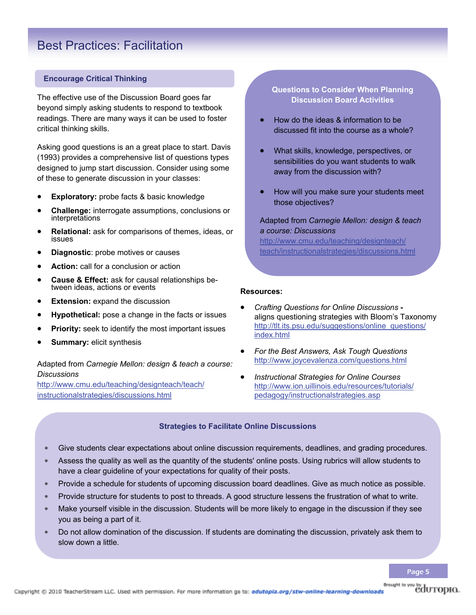### Best Practices: Facilitation

### **Encourage Critical Thinking**

The effective use of the Discussion Board goes far beyond simply asking students to respond to textbook readings. There are many ways it can be used to foster critical thinking skills.

Asking good questions is an a great place to start. Davis (1993) provides a comprehensive list of questions types designed to jump start discussion. Consider using some of these to generate discussion in your classes:

- **Exploratory:** probe facts & basic knowledge
- **Challenge:** interrogate assumptions, conclusions or interpretations
- **Relational:** ask for comparisons of themes, ideas, or issues
- **Diagnostic**: probe motives or causes
- **Action:** call for a conclusion or action
- **Cause & Effect:** ask for causal relationships between ideas, actions or events
- **Extension:** expand the discussion
- **Hypothetical:** pose a change in the facts or issues
- **Priority:** seek to identify the most important issues
- **Summary:** elicit synthesis

### Adapted from *Carnegie Mellon: design & teach a course: Discussions*

http://www.cmu.edu/teaching/designteach/teach/ instructionalstrategies/discussions.html

### **Questions to Consider When Planning Discussion Board Activities**

- How do the ideas & information to be discussed fit into the course as a whole?
- What skills, knowledge, perspectives, or sensibilities do you want students to walk away from the discussion with?
- How will you make sure your students meet those objectives?

### Adapted from *Carnegie Mellon: design & teach a course: Discussions*

http://www.cmu.edu/teaching/designteach/ teach/instructionalstrategies/discussions.html

#### **Resources:**

- *Crafting Questions for Online Discussions*  aligns questioning strategies with Bloom's Taxonomy http://tlt.its.psu.edu/suggestions/online\_questions/ index.html
- *For the Best Answers, Ask Tough Questions* http://www.joycevalenza.com/questions.html
- *Instructional Strategies for Online Courses* http://www.ion.uillinois.edu/resources/tutorials/ pedagogy/instructionalstrategies.asp

#### **Strategies to Facilitate Online Discussions**

- Give students clear expectations about online discussion requirements, deadlines, and grading procedures.
- Assess the quality as well as the quantity of the students' online posts. Using rubrics will allow students to have a clear guideline of your expectations for quality of their posts.
- Provide a schedule for students of upcoming discussion board deadlines. Give as much notice as possible.
- Provide structure for students to post to threads. A good structure lessens the frustration of what to write.
- Make yourself visible in the discussion. Students will be more likely to engage in the discussion if they see you as being a part of it.
- Do not allow domination of the discussion. If students are dominating the discussion, privately ask them to slow down a little.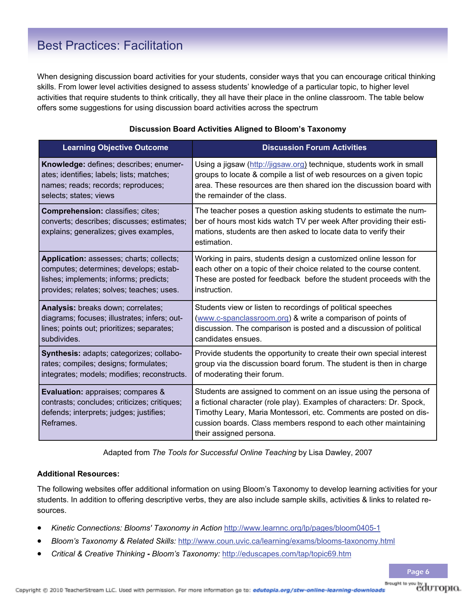### Best Practices: Facilitation

When designing discussion board activities for your students, consider ways that you can encourage critical thinking skills. From lower level activities designed to assess students' knowledge of a particular topic, to higher level activities that require students to think critically, they all have their place in the online classroom. The table below offers some suggestions for using discussion board activities across the spectrum

| <b>Learning Objective Outcome</b>                                                                                                                | <b>Discussion Forum Activities</b>                                                                                                                                                                                                                                                                            |
|--------------------------------------------------------------------------------------------------------------------------------------------------|---------------------------------------------------------------------------------------------------------------------------------------------------------------------------------------------------------------------------------------------------------------------------------------------------------------|
| Knowledge: defines; describes; enumer-                                                                                                           | Using a jigsaw (http://jigsaw.org) technique, students work in small                                                                                                                                                                                                                                          |
| ates; identifies; labels; lists; matches;                                                                                                        | groups to locate & compile a list of web resources on a given topic                                                                                                                                                                                                                                           |
| names; reads; records; reproduces;                                                                                                               | area. These resources are then shared ion the discussion board with                                                                                                                                                                                                                                           |
| selects; states; views                                                                                                                           | the remainder of the class.                                                                                                                                                                                                                                                                                   |
| <b>Comprehension: classifies; cites;</b><br>converts; describes; discusses; estimates;<br>explains; generalizes; gives examples,                 | The teacher poses a question asking students to estimate the num-<br>ber of hours most kids watch TV per week After providing their esti-<br>mations, students are then asked to locate data to verify their<br>estimation.                                                                                   |
| Application: assesses; charts; collects;                                                                                                         | Working in pairs, students design a customized online lesson for                                                                                                                                                                                                                                              |
| computes; determines; develops; estab-                                                                                                           | each other on a topic of their choice related to the course content.                                                                                                                                                                                                                                          |
| lishes; implements; informs; predicts;                                                                                                           | These are posted for feedback before the student proceeds with the                                                                                                                                                                                                                                            |
| provides; relates; solves; teaches; uses.                                                                                                        | instruction.                                                                                                                                                                                                                                                                                                  |
| Analysis: breaks down; correlates;                                                                                                               | Students view or listen to recordings of political speeches                                                                                                                                                                                                                                                   |
| diagrams; focuses; illustrates; infers; out-                                                                                                     | (www.c-spanclassroom.org) & write a comparison of points of                                                                                                                                                                                                                                                   |
| lines; points out; prioritizes; separates;                                                                                                       | discussion. The comparison is posted and a discussion of political                                                                                                                                                                                                                                            |
| subdivides.                                                                                                                                      | candidates ensues.                                                                                                                                                                                                                                                                                            |
| Synthesis: adapts; categorizes; collabo-                                                                                                         | Provide students the opportunity to create their own special interest                                                                                                                                                                                                                                         |
| rates; compiles; designs; formulates;                                                                                                            | group via the discussion board forum. The student is then in charge                                                                                                                                                                                                                                           |
| integrates; models; modifies; reconstructs.                                                                                                      | of moderating their forum.                                                                                                                                                                                                                                                                                    |
| <b>Evaluation:</b> appraises; compares &<br>contrasts; concludes; criticizes; critiques;<br>defends; interprets; judges; justifies;<br>Reframes. | Students are assigned to comment on an issue using the persona of<br>a fictional character (role play). Examples of characters: Dr. Spock,<br>Timothy Leary, Maria Montessori, etc. Comments are posted on dis-<br>cussion boards. Class members respond to each other maintaining<br>their assigned persona. |

### **Discussion Board Activities Aligned to Bloom's Taxonomy**

Adapted from *The Tools for Successful Online Teaching* by Lisa Dawley, 2007

### **Additional Resources:**

The following websites offer additional information on using Bloom's Taxonomy to develop learning activities for your students. In addition to offering descriptive verbs, they are also include sample skills, activities & links to related resources.

- *Kinetic Connections: Blooms' Taxonomy in Action* http://www.learnnc.org/lp/pages/bloom0405-1
- *Bloom's Taxonomy & Related Skills:* http://www.coun.uvic.ca/learning/exams/blooms-taxonomy.html
- *Critical & Creative Thinking* *Bloom's Taxonomy:* http://eduscapes.com/tap/topic69.htm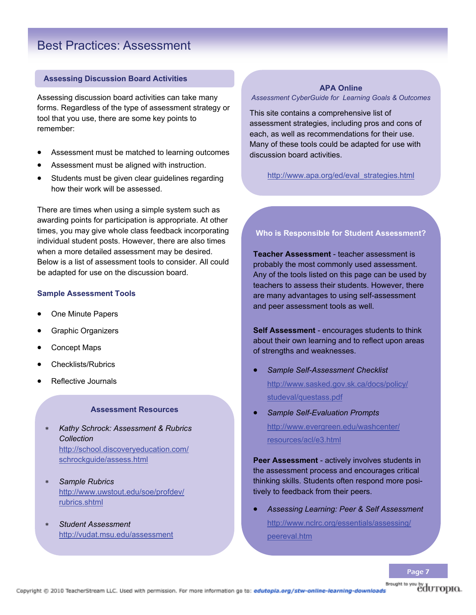### Best Practices: Assessment

### **Assessing Discussion Board Activities**

Assessing discussion board activities can take many forms. Regardless of the type of assessment strategy or tool that you use, there are some key points to remember:

- Assessment must be matched to learning outcomes
- Assessment must be aligned with instruction.
- Students must be given clear guidelines regarding how their work will be assessed.

There are times when using a simple system such as awarding points for participation is appropriate. At other times, you may give whole class feedback incorporating individual student posts. However, there are also times when a more detailed assessment may be desired. Below is a list of assessment tools to consider. All could be adapted for use on the discussion board.

#### **Sample Assessment Tools**

- One Minute Papers
- Graphic Organizers
- Concept Maps
- Checklists/Rubrics
- Reflective Journals

#### **Assessment Resources**

- *Kathy Schrock: Assessment & Rubrics Collection* http://school.discoveryeducation.com/ schrockguide/assess.html
- *Sample Rubrics* http://www.uwstout.edu/soe/profdev/ rubrics.shtml
- *Student Assessment* http://vudat.msu.edu/assessment

### **APA Online**

*Assessment CyberGuide for Learning Goals & Outcomes*

This site contains a comprehensive list of assessment strategies, including pros and cons of each, as well as recommendations for their use. Many of these tools could be adapted for use with discussion board activities.

http://www.apa.org/ed/eval\_strategies.html

### **Who is Responsible for Student Assessment?**

**Teacher Assessment** - teacher assessment is probably the most commonly used assessment. Any of the tools listed on this page can be used by teachers to assess their students. However, there are many advantages to using self-assessment and peer assessment tools as well.

**Self Assessment** - encourages students to think about their own learning and to reflect upon areas of strengths and weaknesses.

- *Sample Self-Assessment Checklist* http://www.sasked.gov.sk.ca/docs/policy/ studeval/questass.pdf
- *Sample Self-Evaluation Prompts* http://www.evergreen.edu/washcenter/ resources/acl/e3.html

**Peer Assessment** - actively involves students in the assessment process and encourages critical thinking skills. Students often respond more positively to feedback from their peers.

 *Assessing Learning: Peer & Self Assessment* http://www.nclrc.org/essentials/assessing/ peereval.htm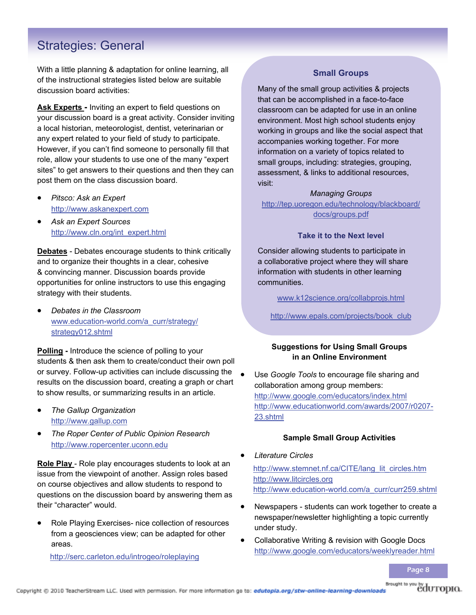### Strategies: General

With a little planning & adaptation for online learning, all of the instructional strategies listed below are suitable discussion board activities:

**Ask Experts -** Inviting an expert to field questions on your discussion board is a great activity. Consider inviting a local historian, meteorologist, dentist, veterinarian or any expert related to your field of study to participate. However, if you can't find someone to personally fill that role, allow your students to use one of the many "expert sites" to get answers to their questions and then they can post them on the class discussion board.

- *Pitsco: Ask an Expert* http://www.askanexpert.com
- *Ask an Expert Sources* http://www.cln.org/int\_expert.html

**Debates** - Debates encourage students to think critically and to organize their thoughts in a clear, cohesive & convincing manner. Discussion boards provide opportunities for online instructors to use this engaging strategy with their students.

 *Debates in the Classroom* www.education-world.com/a\_curr/strategy/ strategy012.shtml

**Polling -** Introduce the science of polling to your students & then ask them to create/conduct their own poll or survey. Follow-up activities can include discussing the results on the discussion board, creating a graph or chart to show results, or summarizing results in an article.

- *The Gallup Organization* http://www.gallup.com
- *The Roper Center of Public Opinion Research* http://www.ropercenter.uconn.edu

**Role Play** - Role play encourages students to look at an issue from the viewpoint of another. Assign roles based on course objectives and allow students to respond to questions on the discussion board by answering them as their "character" would.

 Role Playing Exercises- nice collection of resources from a geosciences view; can be adapted for other areas.

http://serc.carleton.edu/introgeo/roleplaying

### **Small Groups**

Many of the small group activities & projects that can be accomplished in a face-to-face classroom can be adapted for use in an online environment. Most high school students enjoy working in groups and like the social aspect that accompanies working together. For more information on a variety of topics related to small groups, including: strategies, grouping, assessment, & links to additional resources, visit:

### *Managing Groups*

http://tep.uoregon.edu/technology/blackboard/ docs/groups.pdf

### **Take it to the Next level**

Consider allowing students to participate in a collaborative project where they will share information with students in other learning communities.

www.k12science.org/collabprojs.html

http://www.epals.com/projects/book\_club

### **Suggestions for Using Small Groups in an Online Environment**

 Use *Google Tools* to encourage file sharing and collaboration among group members: http://www.google.com/educators/index.html http://www.educationworld.com/awards/2007/r0207- 23.shtml

### **Sample Small Group Activities**

- *Literature Circles*  http://www.stemnet.nf.ca/CITE/lang\_lit\_circles.htm http://www.litcircles.org http://www.education-world.com/a\_curr/curr259.shtml
- Newspapers students can work together to create a newspaper/newsletter highlighting a topic currently under study.
- Collaborative Writing & revision with Google Docs http://www.google.com/educators/weeklyreader.html

Page 8

Brought to you by dUTOPIO.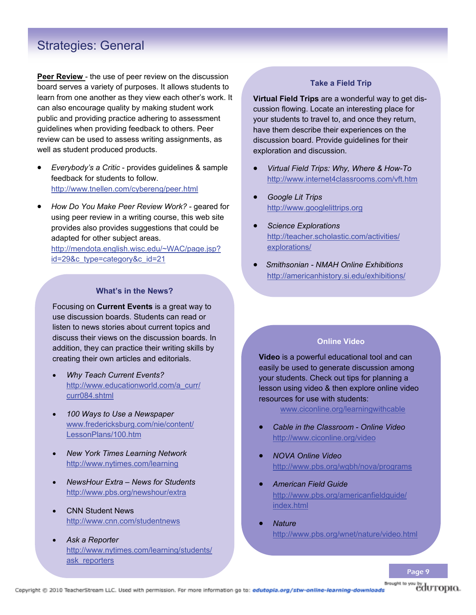### Strategies: General

**Peer Review** - the use of peer review on the discussion board serves a variety of purposes. It allows students to learn from one another as they view each other's work. It can also encourage quality by making student work public and providing practice adhering to assessment guidelines when providing feedback to others. Peer review can be used to assess writing assignments, as well as student produced products.

- *Everybody's a Critic*  provides guidelines & sample feedback for students to follow. http://www.tnellen.com/cybereng/peer.html
- *How Do You Make Peer Review Work?* geared for using peer review in a writing course, this web site provides also provides suggestions that could be adapted for other subject areas.

http://mendota.english.wisc.edu/~WAC/page.jsp? id=29&c\_type=category&c\_id=21

### **What's in the News?**

Focusing on **Current Events** is a great way to use discussion boards. Students can read or listen to news stories about current topics and discuss their views on the discussion boards. In addition, they can practice their writing skills by creating their own articles and editorials.

- *Why Teach Current Events?* http://www.educationworld.com/a\_curr/ curr084.shtml
- *100 Ways to Use a Newspaper* www.fredericksburg.com/nie/content/ LessonPlans/100.htm
- *New York Times Learning Network* http://www.nytimes.com/learning
- *NewsHour Extra News for Students* http://www.pbs.org/newshour/extra
- CNN Student News http://www.cnn.com/studentnews
- *Ask a Reporter* http://www.nytimes.com/learning/students/ ask\_reporters

### **Take a Field Trip**

**Virtual Field Trips** are a wonderful way to get discussion flowing. Locate an interesting place for your students to travel to, and once they return, have them describe their experiences on the discussion board. Provide guidelines for their exploration and discussion.

- *Virtual Field Trips: Why, Where & How-To* http://www.internet4classrooms.com/vft.htm
- *Google Lit Trips* http://www.googlelittrips.org
- *Science Explorations* http://teacher.scholastic.com/activities/ explorations/
- *Smithsonian NMAH Online Exhibitions*  http://americanhistory.si.edu/exhibitions/

### **Online Video**

**Video** is a powerful educational tool and can easily be used to generate discussion among your students. Check out tips for planning a lesson using video & then explore online video resources for use with students:

www.ciconline.org/learningwithcable

- *Cable in the Classroom Online Video* http://www.ciconline.org/video
- *NOVA Online Video*  http://www.pbs.org/wgbh/nova/programs
- *American Field Guide*  http://www.pbs.org/americanfieldguide/ index.html
- *Nature*  http://www.pbs.org/wnet/nature/video.html

Page 9

eduropio.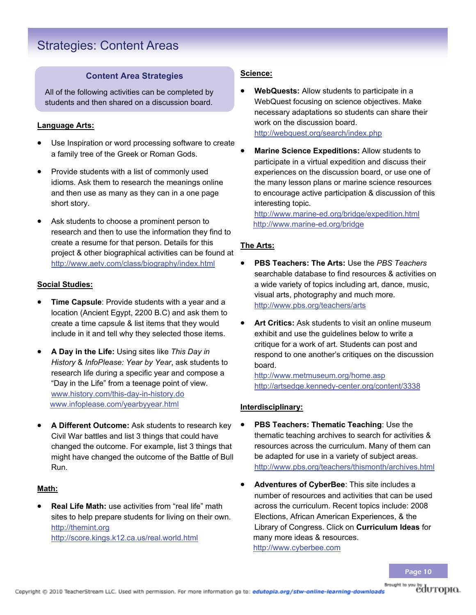### Strategies: Content Areas

### **Content Area Strategies**

All of the following activities can be completed by students and then shared on a discussion board.

### **Language Arts:**

- Use Inspiration or word processing software to create a family tree of the Greek or Roman Gods.
- Provide students with a list of commonly used idioms. Ask them to research the meanings online and then use as many as they can in a one page short story.
- Ask students to choose a prominent person to research and then to use the information they find to create a resume for that person. Details for this project & other biographical activities can be found at http://www.aetv.com/class/biography/index.html

### **Social Studies:**

- **Time Capsule**: Provide students with a year and a location (Ancient Egypt, 2200 B.C) and ask them to create a time capsule & list items that they would include in it and tell why they selected those items.
- **A Day in the Life:** Using sites like *This Day in History* & *InfoPlease: Year by Year*, ask students to research life during a specific year and compose a "Day in the Life" from a teenage point of view. www.history.com/this-day-in-history.do www.infoplease.com/yearbyyear.html
- **A Different Outcome:** Ask students to research key Civil War battles and list 3 things that could have changed the outcome. For example, list 3 things that might have changed the outcome of the Battle of Bull Run.

### **Math:**

 **Real Life Math:** use activities from "real life" math sites to help prepare students for living on their own. http://themint.org http://score.kings.k12.ca.us/real.world.html

### **Science:**

- **WebQuests:** Allow students to participate in a WebQuest focusing on science objectives. Make necessary adaptations so students can share their work on the discussion board. http://webquest.org/search/index.php
- **Marine Science Expeditions:** Allow students to participate in a virtual expedition and discuss their experiences on the discussion board, or use one of the many lesson plans or marine science resources to encourage active participation & discussion of this interesting topic.

http://www.marine-ed.org/bridge/expedition.html http://www.marine-ed.org/bridge

### **The Arts:**

- **PBS Teachers: The Arts:** Use the *PBS Teachers*  searchable database to find resources & activities on a wide variety of topics including art, dance, music, visual arts, photography and much more. http://www.pbs.org/teachers/arts
- **Art Critics:** Ask students to visit an online museum exhibit and use the guidelines below to write a critique for a work of art. Students can post and respond to one another's critiques on the discussion board.

http://www.metmuseum.org/home.asp http://artsedge.kennedy-center.org/content/3338

### **Interdisciplinary:**

- **PBS Teachers: Thematic Teaching**: Use the thematic teaching archives to search for activities & resources across the curriculum. Many of them can be adapted for use in a variety of subject areas. http://www.pbs.org/teachers/thismonth/archives.html
- **Adventures of CyberBee**: This site includes a number of resources and activities that can be used across the curriculum. Recent topics include: 2008 Elections, African American Experiences, & the Library of Congress. Click on **Curriculum Ideas** for many more ideas & resources. http://www.cyberbee.com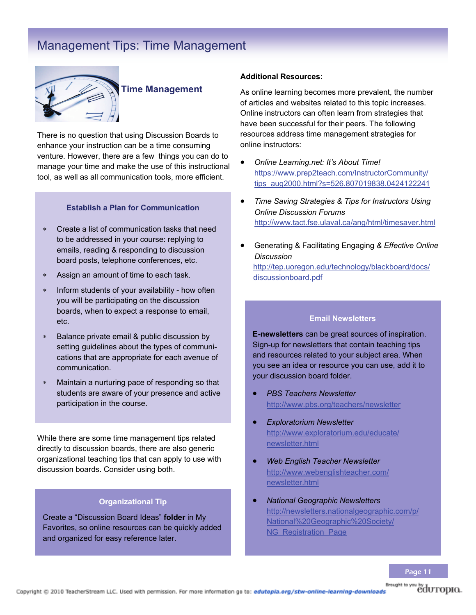### Management Tips: Time Management



### **Time Management**

There is no question that using Discussion Boards to enhance your instruction can be a time consuming venture. However, there are a few things you can do to manage your time and make the use of this instructional tool, as well as all communication tools, more efficient.

### **Establish a Plan for Communication**

- Create a list of communication tasks that need to be addressed in your course: replying to emails, reading & responding to discussion board posts, telephone conferences, etc.
- Assign an amount of time to each task.
- Inform students of your availability how often you will be participating on the discussion boards, when to expect a response to email, etc.
- Balance private email & public discussion by setting guidelines about the types of communications that are appropriate for each avenue of communication.
- Maintain a nurturing pace of responding so that students are aware of your presence and active participation in the course.

While there are some time management tips related directly to discussion boards, there are also generic organizational teaching tips that can apply to use with discussion boards. Consider using both.

#### **Organizational Tip**

Create a "Discussion Board Ideas" **folder** in My Favorites, so online resources can be quickly added and organized for easy reference later.

### **Additional Resources:**

As online learning becomes more prevalent, the number of articles and websites related to this topic increases. Online instructors can often learn from strategies that have been successful for their peers. The following resources address time management strategies for online instructors:

- *Online Learning.net: It's About Time!* https://www.prep2teach.com/InstructorCommunity/ tips\_aug2000.html?s=526.807019838.0424122241
- *Time Saving Strategies & Tips for Instructors Using Online Discussion Forums* http://www.tact.fse.ulaval.ca/ang/html/timesaver.html
- Generating & Facilitating Engaging *& Effective Online Discussion* http://tep.uoregon.edu/technology/blackboard/docs/ discussionboard.pdf

### **Email Newsletters**

**E-newsletters** can be great sources of inspiration. Sign-up for newsletters that contain teaching tips and resources related to your subject area. When you see an idea or resource you can use, add it to your discussion board folder.

- *PBS Teachers Newsletter* http://www.pbs.org/teachers/newsletter
- *Exploratorium Newsletter* http://www.exploratorium.edu/educate/ newsletter.html
- *Web English Teacher Newsletter* http://www.webenglishteacher.com/ newsletter.html
- *National Geographic Newsletters* http://newsletters.nationalgeographic.com/p/ National%20Geographic%20Society/ NG Registration Page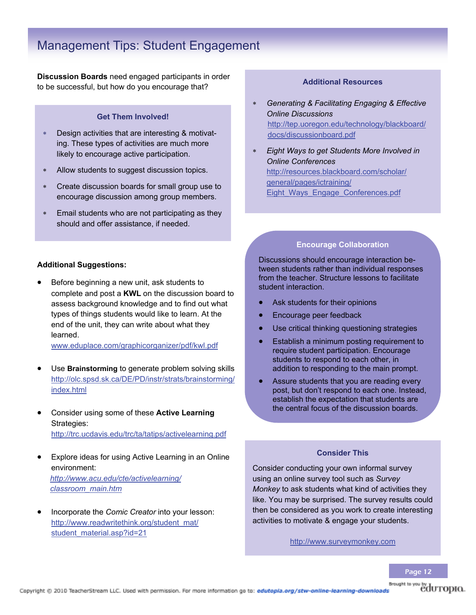### Management Tips: Student Engagement

**Discussion Boards** need engaged participants in order to be successful, but how do you encourage that?

### **Get Them Involved!**

- Design activities that are interesting & motivating. These types of activities are much more likely to encourage active participation.
- Allow students to suggest discussion topics.
- Create discussion boards for small group use to encourage discussion among group members.
- Email students who are not participating as they should and offer assistance, if needed.

### **Additional Suggestions:**

 Before beginning a new unit, ask students to complete and post a **KWL** on the discussion board to assess background knowledge and to find out what types of things students would like to learn. At the end of the unit, they can write about what they learned.

www.eduplace.com/graphicorganizer/pdf/kwl.pdf

- Use **Brainstorming** to generate problem solving skills http://olc.spsd.sk.ca/DE/PD/instr/strats/brainstorming/ index.html
- Consider using some of these **Active Learning**  Strategies: http://trc.ucdavis.edu/trc/ta/tatips/activelearning.pdf
- Explore ideas for using Active Learning in an Online environment: *http://www.acu.edu/cte/activelearning/ classroom\_main.htm*
- Incorporate the *Comic Creator* into your lesson: http://www.readwritethink.org/student\_mat/ student\_material.asp?id=21

#### **Additional Resources**

- *Generating & Facilitating Engaging & Effective Online Discussions*  http://tep.uoregon.edu/technology/blackboard/ docs/discussionboard.pdf
- *Eight Ways to get Students More Involved in Online Conferences* http://resources.blackboard.com/scholar/ general/pages/ictraining/ Eight\_Ways\_Engage\_Conferences.pdf

### **Encourage Collaboration**

Discussions should encourage interaction between students rather than individual responses from the teacher. Structure lessons to facilitate student interaction.

- Ask students for their opinions
- Encourage peer feedback
- Use critical thinking questioning strategies
- **•** Establish a minimum posting requirement to require student participation. Encourage students to respond to each other, in addition to responding to the main prompt.
- Assure students that you are reading every post, but don't respond to each one. Instead, establish the expectation that students are the central focus of the discussion boards.

### **Consider This**

Consider conducting your own informal survey using an online survey tool such as *Survey Monkey* to ask students what kind of activities they like. You may be surprised. The survey results could then be considered as you work to create interesting activities to motivate & engage your students.

http://www.surveymonkey.com

Page 12

Brought to you by dUTOPIO.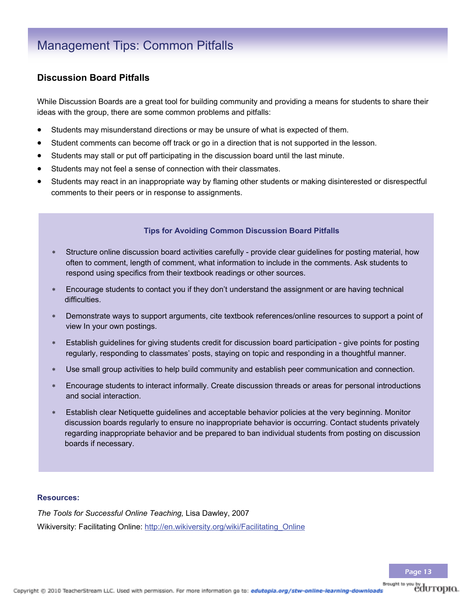### Management Tips: Common Pitfalls

### **Discussion Board Pitfalls**

While Discussion Boards are a great tool for building community and providing a means for students to share their ideas with the group, there are some common problems and pitfalls:

- Students may misunderstand directions or may be unsure of what is expected of them.
- Student comments can become off track or go in a direction that is not supported in the lesson.
- Students may stall or put off participating in the discussion board until the last minute.
- Students may not feel a sense of connection with their classmates.
- Students may react in an inappropriate way by flaming other students or making disinterested or disrespectful comments to their peers or in response to assignments.

### **Tips for Avoiding Common Discussion Board Pitfalls**

- Structure online discussion board activities carefully provide clear guidelines for posting material, how often to comment, length of comment, what information to include in the comments. Ask students to respond using specifics from their textbook readings or other sources.
- Encourage students to contact you if they don't understand the assignment or are having technical difficulties.
- Demonstrate ways to support arguments, cite textbook references/online resources to support a point of view In your own postings.
- Establish guidelines for giving students credit for discussion board participation give points for posting regularly, responding to classmates' posts, staying on topic and responding in a thoughtful manner.
- Use small group activities to help build community and establish peer communication and connection.
- Encourage students to interact informally. Create discussion threads or areas for personal introductions and social interaction.
- Establish clear Netiquette guidelines and acceptable behavior policies at the very beginning. Monitor discussion boards regularly to ensure no inappropriate behavior is occurring. Contact students privately regarding inappropriate behavior and be prepared to ban individual students from posting on discussion boards if necessary.

### **Resources:**

*The Tools for Successful Online Teaching,* Lisa Dawley, 2007 Wikiversity: Facilitating Online: http://en.wikiversity.org/wiki/Facilitating Online

eduropio.